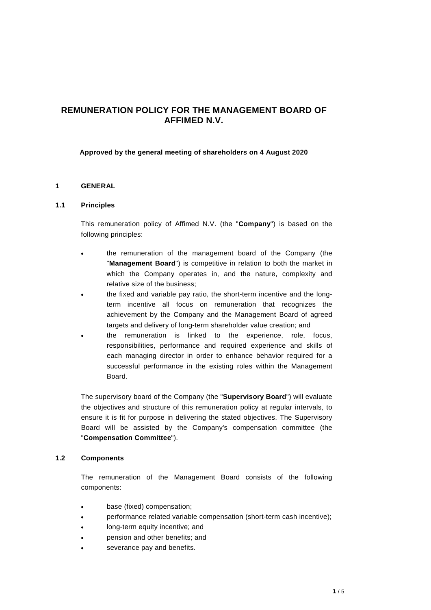# **REMUNERATION POLICY FOR THE MANAGEMENT BOARD OF AFFIMED N.V.**

**Approved by the general meeting of shareholders on 4 August 2020**

## **1 GENERAL**

#### **1.1 Principles**

This remuneration policy of Affimed N.V. (the "**Company**") is based on the following principles:

- the remuneration of the management board of the Company (the "**Management Board**") is competitive in relation to both the market in which the Company operates in, and the nature, complexity and relative size of the business;
- the fixed and variable pay ratio, the short-term incentive and the longterm incentive all focus on remuneration that recognizes the achievement by the Company and the Management Board of agreed targets and delivery of long-term shareholder value creation; and
- the remuneration is linked to the experience, role, focus, responsibilities, performance and required experience and skills of each managing director in order to enhance behavior required for a successful performance in the existing roles within the Management Board.

The supervisory board of the Company (the "**Supervisory Board**") will evaluate the objectives and structure of this remuneration policy at regular intervals, to ensure it is fit for purpose in delivering the stated objectives. The Supervisory Board will be assisted by the Company's compensation committee (the "**Compensation Committee**").

#### **1.2 Components**

The remuneration of the Management Board consists of the following components:

- base (fixed) compensation;
- performance related variable compensation (short-term cash incentive);
- long-term equity incentive; and
- pension and other benefits; and
- severance pay and benefits.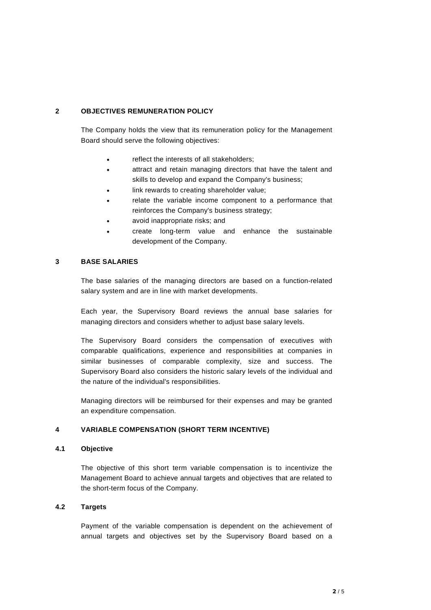# **2 OBJECTIVES REMUNERATION POLICY**

The Company holds the view that its remuneration policy for the Management Board should serve the following objectives:

- reflect the interests of all stakeholders;
- attract and retain managing directors that have the talent and skills to develop and expand the Company's business;
- link rewards to creating shareholder value;
- relate the variable income component to a performance that reinforces the Company's business strategy;
- avoid inappropriate risks; and
- create long-term value and enhance the sustainable development of the Company.

# **3 BASE SALARIES**

The base salaries of the managing directors are based on a function-related salary system and are in line with market developments.

Each year, the Supervisory Board reviews the annual base salaries for managing directors and considers whether to adjust base salary levels.

The Supervisory Board considers the compensation of executives with comparable qualifications, experience and responsibilities at companies in similar businesses of comparable complexity, size and success. The Supervisory Board also considers the historic salary levels of the individual and the nature of the individual's responsibilities.

Managing directors will be reimbursed for their expenses and may be granted an expenditure compensation.

# **4 VARIABLE COMPENSATION (SHORT TERM INCENTIVE)**

## **4.1 Objective**

The objective of this short term variable compensation is to incentivize the Management Board to achieve annual targets and objectives that are related to the short-term focus of the Company.

## **4.2 Targets**

Payment of the variable compensation is dependent on the achievement of annual targets and objectives set by the Supervisory Board based on a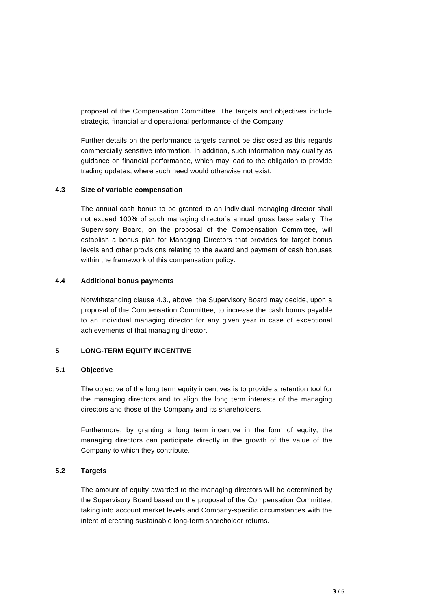proposal of the Compensation Committee. The targets and objectives include strategic, financial and operational performance of the Company.

Further details on the performance targets cannot be disclosed as this regards commercially sensitive information. In addition, such information may qualify as guidance on financial performance, which may lead to the obligation to provide trading updates, where such need would otherwise not exist.

#### **4.3 Size of variable compensation**

The annual cash bonus to be granted to an individual managing director shall not exceed 100% of such managing director's annual gross base salary. The Supervisory Board, on the proposal of the Compensation Committee, will establish a bonus plan for Managing Directors that provides for target bonus levels and other provisions relating to the award and payment of cash bonuses within the framework of this compensation policy.

#### **4.4 Additional bonus payments**

Notwithstanding clause 4.3., above, the Supervisory Board may decide, upon a proposal of the Compensation Committee, to increase the cash bonus payable to an individual managing director for any given year in case of exceptional achievements of that managing director.

## **5 LONG-TERM EQUITY INCENTIVE**

#### **5.1 Objective**

The objective of the long term equity incentives is to provide a retention tool for the managing directors and to align the long term interests of the managing directors and those of the Company and its shareholders.

Furthermore, by granting a long term incentive in the form of equity, the managing directors can participate directly in the growth of the value of the Company to which they contribute.

#### **5.2 Targets**

The amount of equity awarded to the managing directors will be determined by the Supervisory Board based on the proposal of the Compensation Committee, taking into account market levels and Company-specific circumstances with the intent of creating sustainable long-term shareholder returns.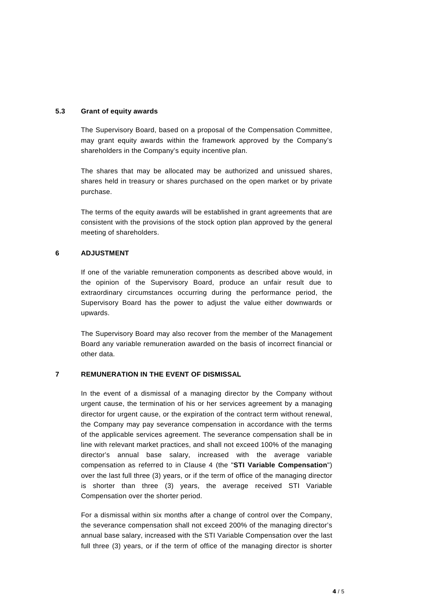## **5.3 Grant of equity awards**

The Supervisory Board, based on a proposal of the Compensation Committee, may grant equity awards within the framework approved by the Company's shareholders in the Company's equity incentive plan.

The shares that may be allocated may be authorized and unissued shares, shares held in treasury or shares purchased on the open market or by private purchase.

The terms of the equity awards will be established in grant agreements that are consistent with the provisions of the stock option plan approved by the general meeting of shareholders.

## **6 ADJUSTMENT**

If one of the variable remuneration components as described above would, in the opinion of the Supervisory Board, produce an unfair result due to extraordinary circumstances occurring during the performance period, the Supervisory Board has the power to adjust the value either downwards or upwards.

The Supervisory Board may also recover from the member of the Management Board any variable remuneration awarded on the basis of incorrect financial or other data.

# **7 REMUNERATION IN THE EVENT OF DISMISSAL**

In the event of a dismissal of a managing director by the Company without urgent cause, the termination of his or her services agreement by a managing director for urgent cause, or the expiration of the contract term without renewal, the Company may pay severance compensation in accordance with the terms of the applicable services agreement. The severance compensation shall be in line with relevant market practices, and shall not exceed 100% of the managing director's annual base salary, increased with the average variable compensation as referred to in Clause 4 (the "**STI Variable Compensation**") over the last full three (3) years, or if the term of office of the managing director is shorter than three (3) years, the average received STI Variable Compensation over the shorter period.

For a dismissal within six months after a change of control over the Company, the severance compensation shall not exceed 200% of the managing director's annual base salary, increased with the STI Variable Compensation over the last full three (3) years, or if the term of office of the managing director is shorter